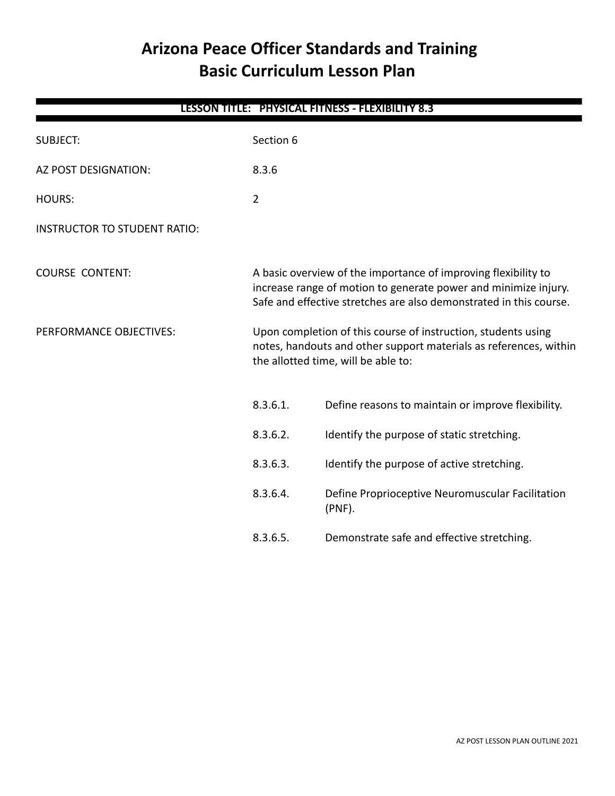# **Arizona Peace Officer Standards and Training Basic Curriculum Lesson Plan**

| LESSON TITLE: PHYSICAL FITNESS - FLEXIBILITY 8.3 |                                                                                                                                                                                                         |                                                               |  |
|--------------------------------------------------|---------------------------------------------------------------------------------------------------------------------------------------------------------------------------------------------------------|---------------------------------------------------------------|--|
| <b>SUBJECT:</b>                                  | Section 6                                                                                                                                                                                               |                                                               |  |
| AZ POST DESIGNATION:                             | 8.3.6                                                                                                                                                                                                   |                                                               |  |
| <b>HOURS:</b>                                    | $\overline{2}$                                                                                                                                                                                          |                                                               |  |
| <b>INSTRUCTOR TO STUDENT RATIO:</b>              |                                                                                                                                                                                                         |                                                               |  |
| <b>COURSE CONTENT:</b>                           | A basic overview of the importance of improving flexibility to<br>increase range of motion to generate power and minimize injury.<br>Safe and effective stretches are also demonstrated in this course. |                                                               |  |
| PERFORMANCE OBJECTIVES:                          | Upon completion of this course of instruction, students using<br>notes, handouts and other support materials as references, within<br>the allotted time, will be able to:                               |                                                               |  |
|                                                  | 8.3.6.1.                                                                                                                                                                                                | Define reasons to maintain or improve flexibility.            |  |
|                                                  | 8.3.6.2.                                                                                                                                                                                                | Identify the purpose of static stretching.                    |  |
|                                                  | 8.3.6.3.                                                                                                                                                                                                | Identify the purpose of active stretching.                    |  |
|                                                  | 8.3.6.4.                                                                                                                                                                                                | Define Proprioceptive Neuromuscular Facilitation<br>$(PNF)$ . |  |
|                                                  | 8.3.6.5.                                                                                                                                                                                                | Demonstrate safe and effective stretching.                    |  |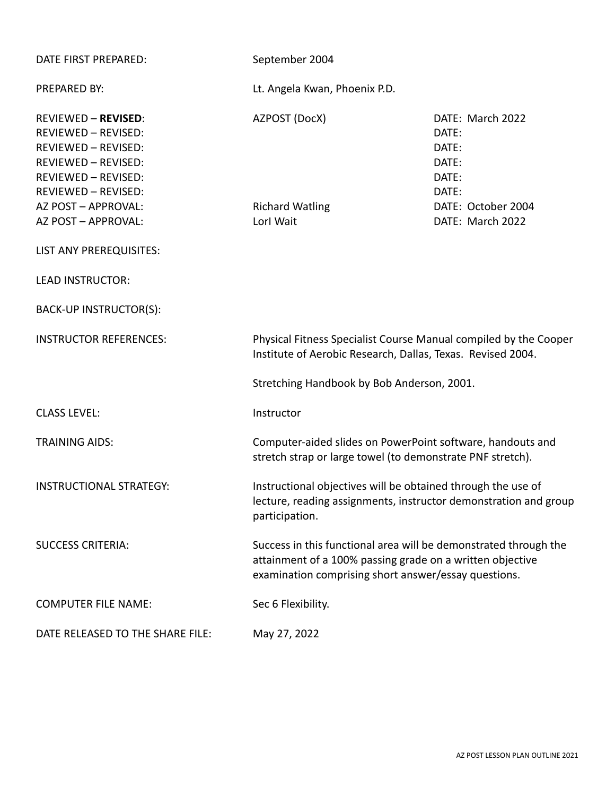| DATE FIRST PREPARED:                                                                                                                                               | September 2004                                                                                                                                                                        |                                                               |  |
|--------------------------------------------------------------------------------------------------------------------------------------------------------------------|---------------------------------------------------------------------------------------------------------------------------------------------------------------------------------------|---------------------------------------------------------------|--|
| PREPARED BY:                                                                                                                                                       | Lt. Angela Kwan, Phoenix P.D.                                                                                                                                                         |                                                               |  |
| <b>REVIEWED - REVISED:</b><br>REVIEWED - REVISED:<br><b>REVIEWED - REVISED:</b><br><b>REVIEWED - REVISED:</b><br><b>REVIEWED - REVISED:</b><br>REVIEWED - REVISED: | AZPOST (DocX)                                                                                                                                                                         | DATE: March 2022<br>DATE:<br>DATE:<br>DATE:<br>DATE:<br>DATE: |  |
| AZ POST - APPROVAL:<br>AZ POST - APPROVAL:                                                                                                                         | <b>Richard Watling</b><br>Lorl Wait                                                                                                                                                   | DATE: October 2004<br>DATE: March 2022                        |  |
| LIST ANY PREREQUISITES:                                                                                                                                            |                                                                                                                                                                                       |                                                               |  |
| <b>LEAD INSTRUCTOR:</b>                                                                                                                                            |                                                                                                                                                                                       |                                                               |  |
| BACK-UP INSTRUCTOR(S):                                                                                                                                             |                                                                                                                                                                                       |                                                               |  |
| <b>INSTRUCTOR REFERENCES:</b>                                                                                                                                      | Physical Fitness Specialist Course Manual compiled by the Cooper<br>Institute of Aerobic Research, Dallas, Texas. Revised 2004.                                                       |                                                               |  |
|                                                                                                                                                                    | Stretching Handbook by Bob Anderson, 2001.                                                                                                                                            |                                                               |  |
| <b>CLASS LEVEL:</b>                                                                                                                                                | Instructor                                                                                                                                                                            |                                                               |  |
| <b>TRAINING AIDS:</b>                                                                                                                                              | Computer-aided slides on PowerPoint software, handouts and<br>stretch strap or large towel (to demonstrate PNF stretch).                                                              |                                                               |  |
| <b>INSTRUCTIONAL STRATEGY:</b>                                                                                                                                     | Instructional objectives will be obtained through the use of<br>lecture, reading assignments, instructor demonstration and group<br>participation.                                    |                                                               |  |
| <b>SUCCESS CRITERIA:</b>                                                                                                                                           | Success in this functional area will be demonstrated through the<br>attainment of a 100% passing grade on a written objective<br>examination comprising short answer/essay questions. |                                                               |  |
| <b>COMPUTER FILE NAME:</b>                                                                                                                                         | Sec 6 Flexibility.                                                                                                                                                                    |                                                               |  |
| DATE RELEASED TO THE SHARE FILE:                                                                                                                                   | May 27, 2022                                                                                                                                                                          |                                                               |  |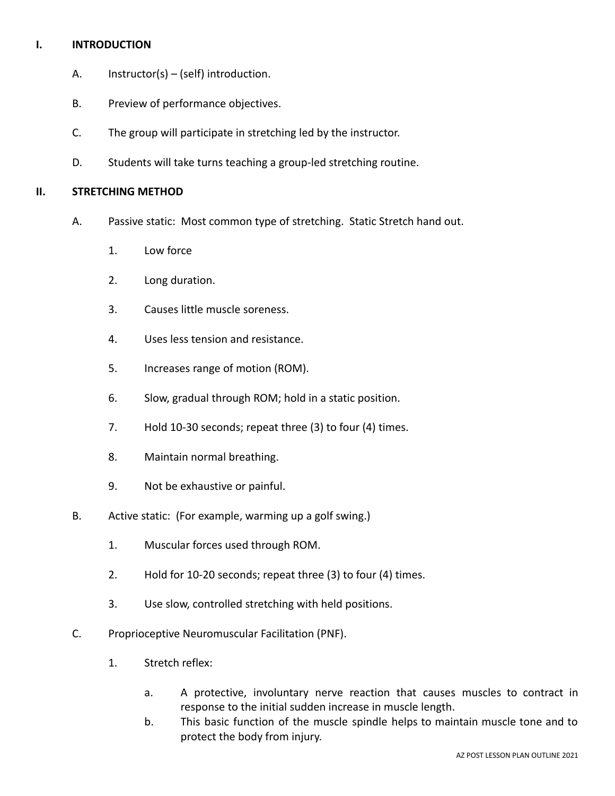## **I. INTRODUCTION**

- A. Instructor(s) (self) introduction.
- B. Preview of performance objectives.
- C. The group will participate in stretching led by the instructor.
- D. Students will take turns teaching a group-led stretching routine.

#### **II. STRETCHING METHOD**

- A. Passive static: Most common type of stretching. Static Stretch hand out.
	- 1. Low force
	- 2. Long duration.
	- 3. Causes little muscle soreness.
	- 4. Uses less tension and resistance.
	- 5. Increases range of motion (ROM).
	- 6. Slow, gradual through ROM; hold in a static position.
	- 7. Hold 10-30 seconds; repeat three (3) to four (4) times.
	- 8. Maintain normal breathing.
	- 9. Not be exhaustive or painful.
- B. Active static: (For example, warming up a golf swing.)
	- 1. Muscular forces used through ROM.
	- 2. Hold for 10-20 seconds; repeat three (3) to four (4) times.
	- 3. Use slow, controlled stretching with held positions.
- C. Proprioceptive Neuromuscular Facilitation (PNF).
	- 1. Stretch reflex:
		- a. A protective, involuntary nerve reaction that causes muscles to contract in response to the initial sudden increase in muscle length.
		- b. This basic function of the muscle spindle helps to maintain muscle tone and to protect the body from injury.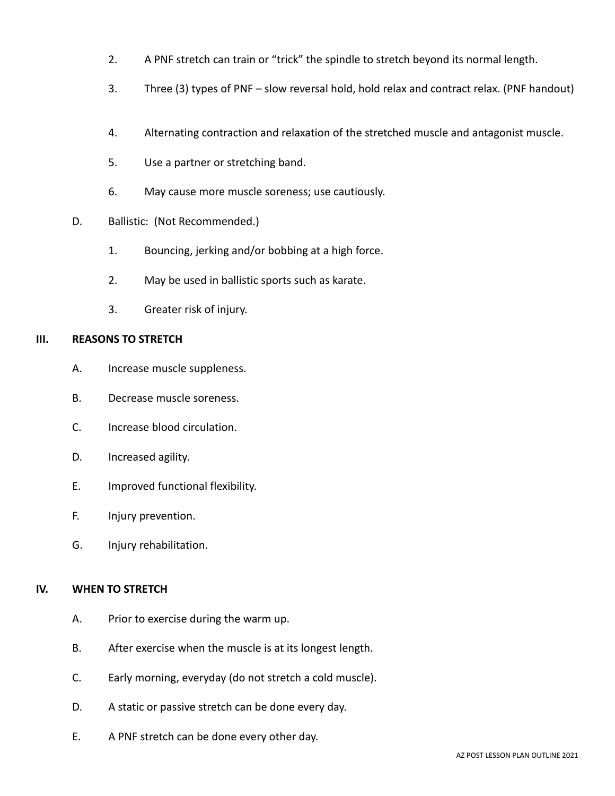- 2. A PNF stretch can train or "trick" the spindle to stretch beyond its normal length.
- 3. Three (3) types of PNF slow reversal hold, hold relax and contract relax. (PNF handout)
- 4. Alternating contraction and relaxation of the stretched muscle and antagonist muscle.
- 5. Use a partner or stretching band.
- 6. May cause more muscle soreness; use cautiously.
- D. Ballistic: (Not Recommended.)
	- 1. Bouncing, jerking and/or bobbing at a high force.
	- 2. May be used in ballistic sports such as karate.
	- 3. Greater risk of injury.

## **III. REASONS TO STRETCH**

- A. Increase muscle suppleness.
- B. Decrease muscle soreness.
- C. Increase blood circulation.
- D. Increased agility.
- E. Improved functional flexibility.
- F. Injury prevention.
- G. Injury rehabilitation.

#### **IV. WHEN TO STRETCH**

- A. Prior to exercise during the warm up.
- B. After exercise when the muscle is at its longest length.
- C. Early morning, everyday (do not stretch a cold muscle).
- D. A static or passive stretch can be done every day.
- E. A PNF stretch can be done every other day.